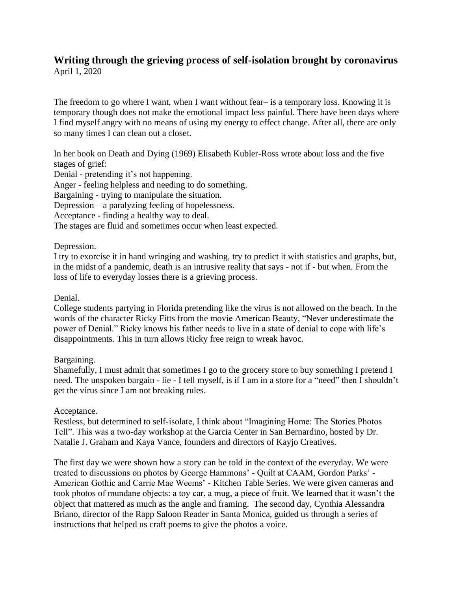#### **Writing through the grieving process of self-isolation brought by coronavirus** April 1, 2020

The freedom to go where I want, when I want without fear– is a temporary loss. Knowing it is temporary though does not make the emotional impact less painful. There have been days where I find myself angry with no means of using my energy to effect change. After all, there are only so many times I can clean out a closet.

In her book on Death and Dying (1969) Elisabeth Kubler-Ross wrote about loss and the five stages of grief:

Denial - pretending it's not happening.

Anger - feeling helpless and needing to do something.

Bargaining - trying to manipulate the situation.

Depression – a paralyzing feeling of hopelessness.

Acceptance - finding a healthy way to deal.

The stages are fluid and sometimes occur when least expected.

# Depression.

I try to exorcise it in hand wringing and washing, try to predict it with statistics and graphs, but, in the midst of a pandemic, death is an intrusive reality that says - not if - but when. From the loss of life to everyday losses there is a grieving process.

# Denial.

College students partying in Florida pretending like the virus is not allowed on the beach. In the words of the character Ricky Fitts from the movie American Beauty, "Never underestimate the power of Denial." Ricky knows his father needs to live in a state of denial to cope with life's disappointments. This in turn allows Ricky free reign to wreak havoc.

# Bargaining.

Shamefully, I must admit that sometimes I go to the grocery store to buy something I pretend I need. The unspoken bargain - lie - I tell myself, is if I am in a store for a "need" then I shouldn't get the virus since I am not breaking rules.

#### Acceptance.

Restless, but determined to self-isolate, I think about "Imagining Home: The Stories Photos Tell". This was a two-day workshop at the Garcia Center in San Bernardino, hosted by Dr. Natalie J. Graham and Kaya Vance, founders and directors of Kayjo Creatives.

The first day we were shown how a story can be told in the context of the everyday. We were treated to discussions on photos by George Hammons' - Quilt at CAAM, Gordon Parks' - American Gothic and Carrie Mae Weems' - Kitchen Table Series. We were given cameras and took photos of mundane objects: a toy car, a mug, a piece of fruit. We learned that it wasn't the object that mattered as much as the angle and framing. The second day, Cynthia Alessandra Briano, director of the Rapp Saloon Reader in Santa Monica, guided us through a series of instructions that helped us craft poems to give the photos a voice.